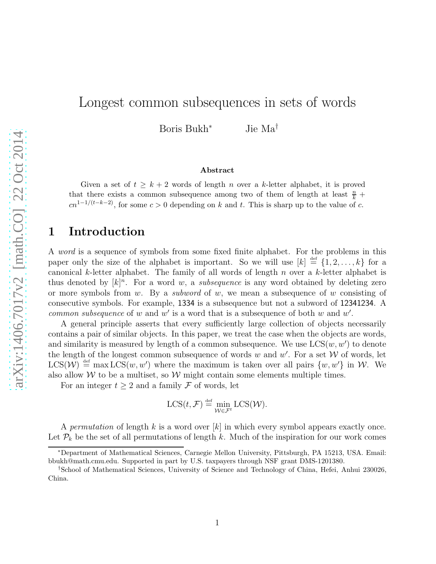# Longest common subsequences in sets of words

Boris Bukh<sup>∗</sup> Jie Ma†

#### Abstract

Given a set of  $t \geq k+2$  words of length n over a k-letter alphabet, it is proved that there exists a common subsequence among two of them of length at least  $\frac{n}{k}$  +  $cn^{1-1/(t-k-2)}$ , for some  $c > 0$  depending on k and t. This is sharp up to the value of c.

### 1 Introduction

A word is a sequence of symbols from some fixed finite alphabet. For the problems in this paper only the size of the alphabet is important. So we will use  $[k] \stackrel{\text{def}}{=} \{1, 2, \ldots, k\}$  for a canonical k-letter alphabet. The family of all words of length  $n$  over a k-letter alphabet is thus denoted by  $[k]^n$ . For a word w, a *subsequence* is any word obtained by deleting zero or more symbols from w. By a *subword* of w, we mean a subsequence of w consisting of consecutive symbols. For example, 1334 is a subsequence but not a subword of 12341234. A common subsequence of w and w' is a word that is a subsequence of both w and  $w'$ .

A general principle asserts that every sufficiently large collection of objects necessarily contains a pair of similar objects. In this paper, we treat the case when the objects are words, and similarity is measured by length of a common subsequence. We use  $LCS(w, w')$  to denote the length of the longest common subsequence of words w and w'. For a set  $W$  of words, let  $LCS(\mathcal{W}) \stackrel{\text{def}}{=} \max \text{LCS}(w, w')$  where the maximum is taken over all pairs  $\{w, w'\}$  in W. We also allow  $W$  to be a multiset, so  $W$  might contain some elements multiple times.

For an integer  $t \geq 2$  and a family  $\mathcal F$  of words, let

$$
LCS(t, \mathcal{F}) \stackrel{\text{def}}{=} \min_{\mathcal{W} \in \mathcal{F}^t} LCS(\mathcal{W}).
$$

A permutation of length k is a word over  $[k]$  in which every symbol appears exactly once. Let  $\mathcal{P}_k$  be the set of all permutations of length k. Much of the inspiration for our work comes

<sup>∗</sup>Department of Mathematical Sciences, Carnegie Mellon University, Pittsburgh, PA 15213, USA. Email: bbukh@math.cmu.edu. Supported in part by U.S. taxpayers through NSF grant DMS-1201380.

<sup>†</sup>School of Mathematical Sciences, University of Science and Technology of China, Hefei, Anhui 230026, China.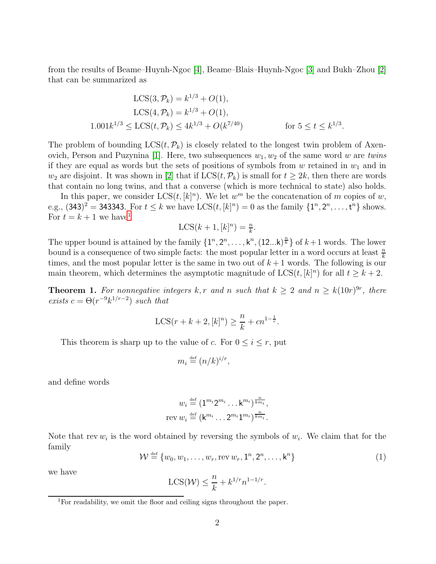from the results of Beame–Huynh-Ngoc [\[4\]](#page-8-0), Beame–Blais–Huynh-Ngoc [\[3\]](#page-8-1) and Bukh–Zhou [\[2\]](#page-8-2) that can be summarized as

$$
LCS(3, \mathcal{P}_k) = k^{1/3} + O(1),
$$
  
\n
$$
LCS(4, \mathcal{P}_k) = k^{1/3} + O(1),
$$
  
\n
$$
1.001k^{1/3} \le LCS(t, \mathcal{P}_k) \le 4k^{1/3} + O(k^{7/40})
$$
 for  $5 \le t \le k^{1/3}$ .

The problem of bounding  $LCS(t, \mathcal{P}_k)$  is closely related to the longest twin problem of Axen-ovich, Person and Puzynina [\[1\]](#page-8-3). Here, two subsequences  $w_1, w_2$  of the same word w are twins if they are equal as words but the sets of positions of symbols from  $w$  retained in  $w_1$  and in  $w_2$  are disjoint. It was shown in [\[2\]](#page-8-2) that if  $LCS(t, \mathcal{P}_k)$  is small for  $t \geq 2k$ , then there are words that contain no long twins, and that a converse (which is more technical to state) also holds.

In this paper, we consider  $LCS(t, [k]^n)$ . We let  $w^m$  be the concatenation of m copies of w, e.g.,  $(343)^2 = 343343$ . For  $t \le k$  we have  $LCS(t, [k]^n) = 0$  as the family  $\{1^n, 2^n, ..., t^n\}$  shows. For  $t = k + 1$  $t = k + 1$  we have<sup>1</sup>

$$
LCS(k+1, [k]^n) = \frac{n}{k}.
$$

The upper bound is attained by the family  $\{1^n, 2^n, \ldots, k^n, (12...k)^{\frac{n}{k}}\}$  of  $k+1$  words. The lower bound is a consequence of two simple facts: the most popular letter in a word occurs at least  $\frac{n}{k}$ times, and the most popular letter is the same in two out of  $k+1$  words. The following is our main theorem, which determines the asymptotic magnitude of  $LCS(t, [k]^n)$  for all  $t \geq k + 2$ .

<span id="page-1-1"></span>**Theorem 1.** For nonnegative integers k, r and n such that  $k \geq 2$  and  $n \geq k(10r)^{9r}$ , there exists  $c = \Theta(r^{-9}k^{1/r-2})$  such that

$$
\text{LCS}(r+k+2, [k]^n) \ge \frac{n}{k} + cn^{1-\frac{1}{r}}.
$$

This theorem is sharp up to the value of c. For  $0 \leq i \leq r$ , put

$$
m_i \stackrel{\text{def}}{=} (n/k)^{i/r},
$$

and define words

$$
w_i \stackrel{\text{def}}{=} (1^{m_i} 2^{m_i} \dots k^{m_i})^{\frac{n}{km_i}},
$$
  
rev 
$$
w_i \stackrel{\text{def}}{=} (k^{m_i} \dots 2^{m_i} 1^{m_i})^{\frac{n}{km_i}}.
$$

Note that rev  $w_i$  is the word obtained by reversing the symbols of  $w_i$ . We claim that for the family

<span id="page-1-2"></span>
$$
\mathcal{W} \stackrel{\text{def}}{=} \{w_0, w_1, \dots, w_r, \text{rev } w_r, \mathbf{1}^n, \mathbf{2}^n, \dots, \mathbf{k}^n\} \tag{1}
$$

we have

$$
LCS(\mathcal{W}) \leq \frac{n}{k} + k^{1/r} n^{1-1/r}.
$$

<span id="page-1-0"></span><sup>&</sup>lt;sup>1</sup>For readability, we omit the floor and ceiling signs throughout the paper.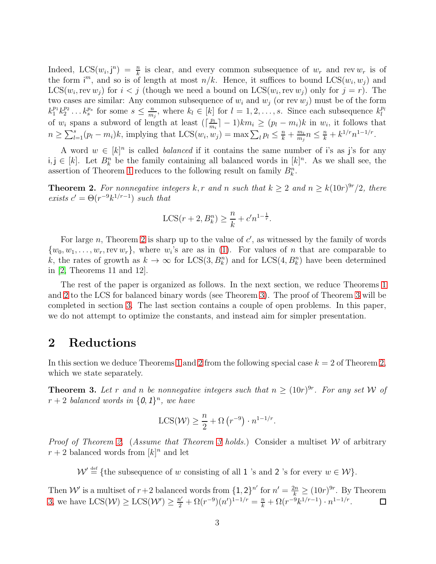Indeed,  $LCS(w_i, j^n) = \frac{n}{k}$  is clear, and every common subsequence of  $w_r$  and rev  $w_r$  is of the form i<sup>m</sup>, and so is of length at most  $n/k$ . Hence, it suffices to bound  $LCS(w_i, w_j)$  and  $LCS(w_i, \text{rev } w_j)$  for  $i < j$  (though we need a bound on  $LCS(w_i, \text{rev } w_j)$  only for  $j = r$ ). The two cases are similar: Any common subsequence of  $w_i$  and  $w_j$  (or rev  $w_j$ ) must be of the form  $k_1^{p_1} k_2^{p_2}$  $k_2^{p_2} \ldots k_s^{p_s}$  for some  $s \leq \frac{n}{m}$  $\frac{n}{m_j}$ , where  $k_l \in [k]$  for  $l = 1, 2, \ldots, s$ . Since each subsequence  $k_l^{p_l}$ l of  $w_i$  spans a subword of length at least  $(\lceil \frac{p_i}{m} \rceil)$  $\frac{p_l}{m_i}$  |  $-1$ ) $km_i \ge (p_l - m_i)k$  in  $w_i$ , it follows that  $n \geq \sum_{l=1}^{s} (p_l - m_i)k$ , implying that  $LCS(w_i, w_j) = \max \sum_l p_l \leq \frac{n}{k} + \frac{m_i}{m_j}$  $\frac{m_i}{m_j} n \leq \frac{n}{k} + k^{1/r} n^{1-1/r}.$ 

A word  $w \in [k]^n$  is called *balanced* if it contains the same number of i's as j's for any i, j ∈ [k]. Let  $B_k^n$  be the family containing all balanced words in [k]<sup>n</sup>. As we shall see, the assertion of Theorem [1](#page-1-1) reduces to the following result on family  $B_k^n$ .

<span id="page-2-0"></span>**Theorem 2.** For nonnegative integers k, r and n such that  $k \geq 2$  and  $n \geq k(10r)^{9r}/2$ , there exists  $c' = \Theta(r^{-9}k^{1/r-1})$  such that

$$
LCS(r + 2, B_k^n) \ge \frac{n}{k} + c'n^{1 - \frac{1}{r}}.
$$

For large n, Theorem [2](#page-2-0) is sharp up to the value of  $c'$ , as witnessed by the family of words  $\{w_0, w_1, \ldots, w_r, \text{rev } w_r\}$ , where  $w_i$ 's are as in [\(1\)](#page-1-2). For values of *n* that are comparable to k, the rates of growth as  $k \to \infty$  for  $LCS(3, B_k^n)$  and for  $LCS(4, B_k^n)$  have been determined in [\[2,](#page-8-2) Theorems 11 and 12].

The rest of the paper is organized as follows. In the next section, we reduce Theorems [1](#page-1-1) and [2](#page-2-0) to the LCS for balanced binary words (see Theorem [3\)](#page-2-1). The proof of Theorem [3](#page-2-1) will be completed in section [3.](#page-3-0) The last section contains a couple of open problems. In this paper, we do not attempt to optimize the constants, and instead aim for simpler presentation.

#### 2 Reductions

In this section we deduce Theorems [1](#page-1-1) and [2](#page-2-0) from the following special case  $k = 2$  of Theorem [2,](#page-2-0) which we state separately.

<span id="page-2-1"></span>**Theorem 3.** Let r and n be nonnegative integers such that  $n \geq (10r)^{9r}$ . For any set W of  $r+2$  balanced words in  $\{0,1\}^n$ , we have

$$
LCS(\mathcal{W}) \ge \frac{n}{2} + \Omega(r^{-9}) \cdot n^{1-1/r}.
$$

*Proof of Theorem [2.](#page-2-0)* (*Assume that Theorem [3](#page-2-1) holds.*) Consider a multiset  $W$  of arbitrary  $r+2$  balanced words from  $[k]^n$  and let

 $\mathcal{W}' \stackrel{\text{def}}{=} \{\text{the subsequence of } w \text{ consisting of all } 1 \text{ is and } 2 \text{ is for every } w \in \mathcal{W}\}.$ 

Then W' is a multiset of  $r+2$  balanced words from  $\{1,2\}^{n'}$  for  $n'=\frac{2n}{k}\geq (10r)^{9r}$ . By Theorem [3,](#page-2-1) we have  $LCS(\mathcal{W}) \geq LCS(\mathcal{W}') \geq \frac{n'}{2} + \Omega(r^{-9})(n')^{1-1/r} = \frac{n}{k} + \Omega(r^{-9}k^{1/r-1}) \cdot n^{1-1/r}$ .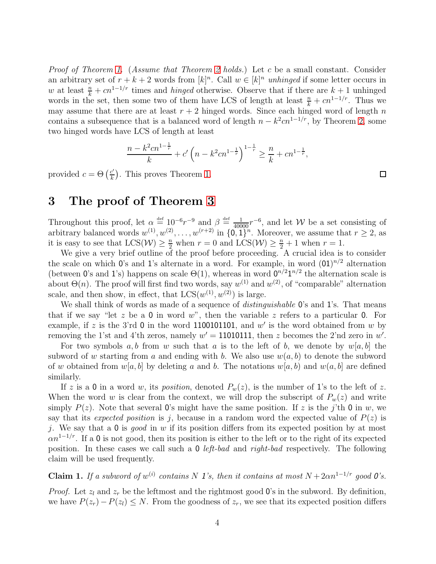Proof of Theorem [1.](#page-1-1) (Assume that Theorem [2](#page-2-0) holds.) Let c be a small constant. Consider an arbitrary set of  $r + k + 2$  words from  $[k]^n$ . Call  $w \in [k]^n$  unhinged if some letter occurs in w at least  $\frac{n}{k} + cn^{1-1/r}$  times and *hinged* otherwise. Observe that if there are  $k+1$  unhinged words in the set, then some two of them have LCS of length at least  $\frac{n}{k} + cn^{1-1/r}$ . Thus we may assume that there are at least  $r + 2$  hinged words. Since each hinged word of length n contains a subsequence that is a balanced word of length  $n - k^2 c n^{1-1/r}$ , by Theorem [2,](#page-2-0) some two hinged words have LCS of length at least

$$
\frac{n - k^2 c n^{1 - \frac{1}{r}}}{k} + c' \left( n - k^2 c n^{1 - \frac{1}{r}} \right)^{1 - \frac{1}{r}} \ge \frac{n}{k} + c n^{1 - \frac{1}{r}},
$$

provided  $c = \Theta\left(\frac{c'}{k}\right)$  $\frac{c'}{k}$ ). This proves Theorem [1.](#page-1-1)

## <span id="page-3-0"></span>3 The proof of Theorem [3](#page-2-1)

Throughout this proof, let  $\alpha \stackrel{\text{def}}{=} 10^{-6}r^{-9}$  and  $\beta \stackrel{\text{def}}{=} \frac{1}{40000}r^{-6}$ , and let W be a set consisting of arbitrary balanced words  $w^{(1)}, w^{(2)}, \ldots, w^{(r+2)}$  in  $\{0, 1\}^n$ . Moreover, we assume that  $r \geq 2$ , as it is easy to see that  $LCS(\mathcal{W}) \geq \frac{n}{2}$  when  $r = 0$  and  $LCS(\mathcal{W}) \geq \frac{n}{2} + 1$  when  $r = 1$ .

We give a very brief outline of the proof before proceeding. A crucial idea is to consider the scale on which  $0$ 's and 1's alternate in a word. For example, in word  $(01)^{n/2}$  alternation (between 0's and 1's) happens on scale  $\Theta(1)$ , whereas in word  $0^{n/2}1^{n/2}$  the alternation scale is about  $\Theta(n)$ . The proof will first find two words, say  $w^{(1)}$  and  $w^{(2)}$ , of "comparable" alternation scale, and then show, in effect, that  $LCS(w^{(1)}, w^{(2)})$  is large.

We shall think of words as made of a sequence of *distinguishable* 0's and 1's. That means that if we say "let z be a 0 in word  $w$ ", then the variable z refers to a particular 0. For example, if z is the 3'rd 0 in the word 1100101101, and  $w'$  is the word obtained from w by removing the 1'st and 4'th zeros, namely  $w' = 11010111$ , then z becomes the 2'nd zero in w'.

For two symbols a, b from w such that a is to the left of b, we denote by  $w[a, b]$  the subword of w starting from a and ending with b. We also use  $w(a, b)$  to denote the subword of w obtained from  $w[a, b]$  by deleting a and b. The notations  $w[a, b]$  and  $w(a, b]$  are defined similarly.

If z is a 0 in a word w, its *position*, denoted  $P_w(z)$ , is the number of 1's to the left of z. When the word w is clear from the context, we will drop the subscript of  $P_w(z)$  and write simply  $P(z)$ . Note that several 0's might have the same position. If z is the j'th 0 in w, we say that its *expected position* is j, because in a random word the expected value of  $P(z)$  is j. We say that a  $\mathbf 0$  is good in w if its position differs from its expected position by at most  $\alpha n^{1-1/r}$ . If a 0 is not good, then its position is either to the left or to the right of its expected position. In these cases we call such a 0 left-bad and right-bad respectively. The following claim will be used frequently.

<span id="page-3-1"></span>**Claim 1.** If a subword of  $w^{(i)}$  contains N 1's, then it contains at most  $N + 2\alpha n^{1-1/r}$  good 0's.

*Proof.* Let  $z_l$  and  $z_r$  be the leftmost and the rightmost good 0's in the subword. By definition, we have  $P(z_r)-P(z_l) \leq N$ . From the goodness of  $z_r$ , we see that its expected position differs

 $\Box$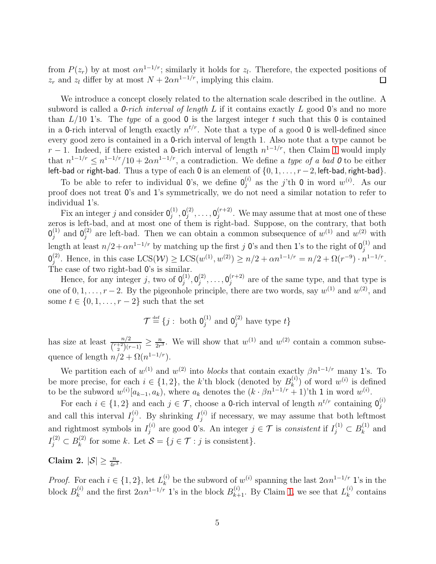from  $P(z_r)$  by at most  $\alpha n^{1-1/r}$ ; similarly it holds for  $z_l$ . Therefore, the expected positions of  $z_r$  and  $z_l$  differ by at most  $N + 2\alpha n^{1-1/r}$ , implying this claim.  $\Box$ 

We introduce a concept closely related to the alternation scale described in the outline. A subword is called a *0-rich interval of length*  $L$  if it contains exactly  $L$  good 0's and no more than  $L/10$  1's. The type of a good 0 is the largest integer t such that this 0 is contained in a 0-rich interval of length exactly  $n^{t/r}$ . Note that a type of a good 0 is well-defined since every good zero is contained in a 0-rich interval of length 1. Also note that a type cannot be  $r-1$ . Indeed, if there existed a 0-rich interval of length  $n^{1-1/r}$ , then Claim [1](#page-3-1) would imply that  $n^{1-1/r} \leq n^{1-1/r}/10 + 2\alpha n^{1-1/r}$ , a contradiction. We define a type of a bad 0 to be either left-bad or right-bad. Thus a type of each 0 is an element of {0, 1, . . . , r−2, left-bad, right-bad}.

To be able to refer to individual 0's, we define  $\mathbf{0}_i^{(i)}$  $j^{(i)}$  as the j'th 0 in word  $w^{(i)}$ . As our proof does not treat 0's and 1's symmetrically, we do not need a similar notation to refer to individual 1's.

Fix an integer j and consider  $0_j^{(1)}$  ${\overset{(1)}{j}}, {\overset{(2)}{0}}{}^{(2)}_{j}$  ${\overset{(2)}{\jmath}},\ldots,{\overset{}}{\overset{(j+2)}{\jmath}}$  $j^{(r+2)}$ . We may assume that at most one of these zeros is left-bad, and at most one of them is right-bad. Suppose, on the contrary, that both  $\mathsf{0}_i^{(1)}$  $j^{(1)}$  and  $0_j^{(2)}$  $j^{(2)}$  are left-bad. Then we can obtain a common subsequence of  $w^{(1)}$  and  $w^{(2)}$  with length at least  $n/2 + \alpha n^{1-1/r}$  by matching up the first j 0's and then 1's to the right of  $0_i^{(1)}$  $j^{(1)}$  and  $\mathfrak{0}_{i}^{(2)}$ <sup>(2)</sup>. Hence, in this case  $\textup{LCS}(\mathcal{W}) \geq \textup{LCS}(w^{(1)}, w^{(2)}) \geq n/2 + \alpha n^{1-1/r} = n/2 + \Omega(r^{-9}) \cdot n^{1-1/r}$ . The case of two right-bad 0's is similar.

Hence, for any integer j, two of  $\mathbf{0}_i^{(1)}$  $\mathfrak{g}_j^{(1)},\mathfrak{0}_j^{(2)}$  ${\overset{(2)}{\jmath}},\ldots,{\overset{}}{\overset{(j+2)}{\jmath}}$  $j^{(r+2)}$  are of the same type, and that type is one of  $0, 1, \ldots, r-2$ . By the pigeonhole principle, there are two words, say  $w^{(1)}$  and  $w^{(2)}$ , and some  $t \in \{0, 1, \ldots, r-2\}$  such that the set

$$
\mathcal{T} \stackrel{\text{\tiny def}}{=} \{j: \text{ both } 0_j^{(1)} \text{ and } 0_j^{(2)} \text{ have type } t\}
$$

has size at least  $\frac{n/2}{\binom{r+2}{2}(r-1)} \geq \frac{n}{2r}$  $\frac{n}{2r^3}$ . We will show that  $w^{(1)}$  and  $w^{(2)}$  contain a common subsequence of length  $n/2 + \Omega(n^{1-1/r})$ .

We partition each of  $w^{(1)}$  and  $w^{(2)}$  into *blocks* that contain exactly  $\beta n^{1-1/r}$  many 1's. To be more precise, for each  $i \in \{1,2\}$ , the k'th block (denoted by  $B_k^{(i)}$ )  $\binom{n}{k}$  of word  $w^{(i)}$  is defined to be the subword  $w^{(i)}[a_{k-1}, a_k)$ , where  $a_k$  denotes the  $(k \cdot \beta n^{1-1/r} + 1)$ 'th 1 in word  $w^{(i)}$ .

For each  $i \in \{1,2\}$  and each  $j \in \mathcal{T}$ , choose a 0-rich interval of length  $n^{t/r}$  containing  $0_j^{(i)}$ j and call this interval  $I_i^{(i)}$  $j^{(i)}$ . By shrinking  $I_j^{(i)}$  $j_j^{(i)}$  if necessary, we may assume that both leftmost and rightmost symbols in  $I_i^{(i)}$  $j^{(i)}$  are good 0's. An integer  $j \in \mathcal{T}$  is consistent if  $I_j^{(1)} \subset B_k^{(1)}$  $\binom{1}{k}$  and  $I_j^{(2)} \subset B_k^{(2)}$  $k_k^{(2)}$  for some k. Let  $S = \{j \in \mathcal{T} : j \text{ is consistent}\}.$ 

<span id="page-4-0"></span>Claim 2.  $|\mathcal{S}| \geq \frac{n}{4r^3}$ .

*Proof.* For each  $i \in \{1, 2\}$ , let  $L_k^{(i)}$ <sup>(i)</sup> be the subword of  $w^{(i)}$  spanning the last  $2\alpha n^{1-1/r}$  1's in the block  $B_k^{(i)}$ <sup>(i)</sup> and the first  $2\alpha n^{1-1/r}$  1's in the block  $B_{k+1}^{(i)}$ . By Claim [1,](#page-3-1) we see that  $L_k^{(i)}$  $k^{(i)}$  contains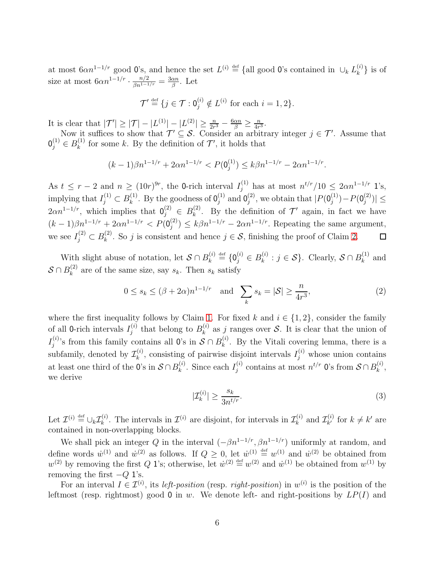at most  $6\alpha n^{1-1/r}$  good 0's, and hence the set  $L^{(i)} \stackrel{\text{def}}{=}$  {all good 0's contained in  $\cup_k L_k^{(i)}$  $\{e^{(i)}\}\$ is of size at most  $6\alpha n^{1-1/r} \cdot \frac{n/2}{\beta n^{1-1/r}} = \frac{3\alpha n}{\beta}$  $\frac{\alpha n}{\beta}$ . Let

$$
\mathcal{T}' \stackrel{\text{def}}{=} \{ j \in \mathcal{T} : 0_j^{(i)} \notin L^{(i)} \text{ for each } i = 1, 2 \}.
$$

It is clear that  $|\mathcal{T}'| \ge |\mathcal{T}| - |L^{(1)}| - |L^{(2)}| \ge \frac{n}{2r^3} - \frac{6\alpha n}{\beta} \ge \frac{n}{4r}$  $\frac{n}{4r^3}$ .

Now it suffices to show that  $\mathcal{T}' \subseteq \mathcal{S}$ . Consider an arbitrary integer  $j \in \mathcal{T}'$ . Assume that  $0_j^{(1)} \in B_k^{(1)}$  $\mathcal{F}_{k}^{(1)}$  for some k. By the definition of  $\mathcal{T}'$ , it holds that

$$
(k-1)\beta n^{1-1/r} + 2\alpha n^{1-1/r} < P(\mathbf{0}_j^{(1)}) \le k\beta n^{1-1/r} - 2\alpha n^{1-1/r}.
$$

As  $t \leq r-2$  and  $n \geq (10r)^{9r}$ , the 0-rich interval  $I_j^{(1)}$  has at most  $n^{t/r}/10 \leq 2\alpha n^{1-1/r}$  1's, implying that  $I_j^{(1)} \subset B_k^{(1)}$  $\mathbf{k}^{(1)}$ . By the goodness of  $\mathbf{0}^{(1)}_j$  $j^{(1)}$  and  $0_j^{(2)}$  $j^{(2)}$ , we obtain that  $|P(\mathbf{0}_j^{(1)})|$  $j^{(1)}$ ) –  $P(0_j^{(2)}$  $_{j}^{(2)}$ ) $|\leq$  $2\alpha n^{1-1/r}$ , which implies that  $0_j^{(2)} \in B_k^{(2)}$ <sup>(2)</sup>. By the definition of  $\mathcal{T}'$  again, in fact we have  $(k-1)\beta n^{1-1/r} + 2\alpha n^{1-1/r} < P(0_j^{(2)})$  $j^{(2)}$ )  $\leq k\beta n^{1-1/r} - 2\alpha n^{1-1/r}$ . Repeating the same argument, we see  $I_j^{(2)} \subset B_k^{(2)}$ <sup>(2)</sup>. So j is consistent and hence  $j \in S$ , finishing the proof of Claim [2.](#page-4-0)  $\Box$ 

With slight abuse of notation, let  $S \cap B_k^{(i)}$  $\mathbf{h}_k^{(i)} \stackrel{\text{def}}{=} \{ \mathbf{0}_j^{(i)} \in B_k^{(i)} \}$  $\mathcal{S}_{k}^{(i)}$ :  $j \in \mathcal{S}$ . Clearly,  $\mathcal{S} \cap B_{k}^{(1)}$  $k^{(1)}$  and  $\mathcal{S}\cap B_k^{(2)}$  $\kappa_k^{(2)}$  are of the same size, say  $s_k$ . Then  $s_k$  satisfy

$$
0 \le s_k \le (\beta + 2\alpha)n^{1-1/r} \quad \text{and} \quad \sum_k s_k = |\mathcal{S}| \ge \frac{n}{4r^3},\tag{2}
$$

where the first inequality follows by Claim [1.](#page-3-1) For fixed k and  $i \in \{1,2\}$ , consider the family of all 0-rich intervals  $I_i^{(i)}$  $j^{(i)}$  that belong to  $B_k^{(i)}$  $\mathcal{L}_{k}^{(i)}$  as j ranges over S. It is clear that the union of  $I_i^{(i)}$  $j^{(i)}$ 's from this family contains all 0's in  $S \cap B_k^{(i)}$  $\kappa^{(i)}$ . By the Vitali covering lemma, there is a subfamily, denoted by  $\mathcal{I}_k^{(i)}$  $k_k^{(i)}$ , consisting of pairwise disjoint intervals  $I_j^{(i)}$  whose union contains at least one third of the 0's in  $S \cap B_k^{(i)}$  $\chi_k^{(i)}$ . Since each  $I_j^{(i)}$  $j^{(i)}$  contains at most  $n^{t/r}$  0's from  $S \cap B_k^{(i)}$  $\binom{v}{k}$ we derive

<span id="page-5-1"></span><span id="page-5-0"></span>
$$
|\mathcal{I}_k^{(i)}| \ge \frac{s_k}{3n^{t/r}}.\tag{3}
$$

Let  $\mathcal{I}^{(i)} \stackrel{\text{def}}{=} \bigcup_k \mathcal{I}_k^{(i)}$ <sup>(i)</sup>. The intervals in  $\mathcal{I}^{(i)}$  are disjoint, for intervals in  $\mathcal{I}_k^{(i)}$  $\mathcal{I}_{k'}^{(i)}$  and  $\mathcal{I}_{k'}^{(i)}$  $k'_{k'}$  for  $k \neq k'$  are contained in non-overlapping blocks.

We shall pick an integer Q in the interval  $(-\beta n^{1-1/r}, \beta n^{1-1/r})$  uniformly at random, and define words  $\dot{w}^{(1)}$  and  $\dot{w}^{(2)}$  as follows. If  $Q \geq 0$ , let  $\dot{w}^{(1)} \stackrel{\text{def}}{=} w^{(1)}$  and  $\dot{w}^{(2)}$  be obtained from  $w^{(2)}$  by removing the first Q 1's; otherwise, let  $\dot{w}^{(2)} \stackrel{\text{def}}{=} w^{(2)}$  and  $\dot{w}^{(1)}$  be obtained from  $w^{(1)}$  by removing the first  $-Q$  1's.

For an interval  $I \in \mathcal{I}^{(i)}$ , its *left-position* (resp. *right-position*) in  $w^{(i)}$  is the position of the leftmost (resp. rightmost) good 0 in w. We denote left- and right-positions by  $LP(I)$  and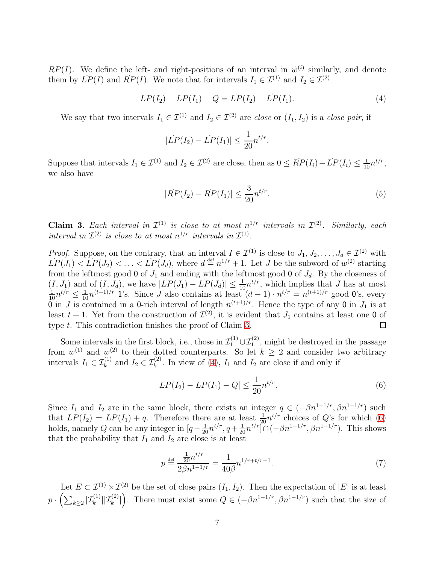$RP(I)$ . We define the left- and right-positions of an interval in  $\dot{w}^{(i)}$  similarly, and denote them by  $LP(I)$  and  $RP(I)$ . We note that for intervals  $I_1 \in \mathcal{I}^{(1)}$  and  $I_2 \in \mathcal{I}^{(2)}$ 

<span id="page-6-1"></span>
$$
LP(I_2) - LP(I_1) - Q = LP(I_2) - LP(I_1).
$$
\n(4)

We say that two intervals  $I_1 \in \mathcal{I}^{(1)}$  and  $I_2 \in \mathcal{I}^{(2)}$  are close or  $(I_1, I_2)$  is a close pair, if

$$
|\dot{LP}(I_2) - \dot{LP}(I_1)| \leq \frac{1}{20} n^{t/r}.
$$

Suppose that intervals  $I_1 \in \mathcal{I}^{(1)}$  and  $I_2 \in \mathcal{I}^{(2)}$  are close, then as  $0 \leq \dot{R}P(I_i) - \dot{L}P(I_i) \leq \frac{1}{10}n^{t/r}$ , we also have

<span id="page-6-4"></span>
$$
|\dot{RP}(I_2) - \dot{RP}(I_1)| \le \frac{3}{20} n^{t/r}.\tag{5}
$$

<span id="page-6-0"></span>**Claim 3.** Each interval in  $\mathcal{I}^{(1)}$  is close to at most  $n^{1/r}$  intervals in  $\mathcal{I}^{(2)}$ . Similarly, each interval in  $\mathcal{I}^{(2)}$  is close to at most  $n^{1/r}$  intervals in  $\mathcal{I}^{(1)}$ .

*Proof.* Suppose, on the contrary, that an interval  $I \in \mathcal{I}^{(1)}$  is close to  $J_1, J_2, \ldots, J_d \in \mathcal{I}^{(2)}$  with  $\dot{LP}(J_1) < \dot{LP}(J_2) < \ldots < \dot{LP}(J_d)$ , where  $d \stackrel{\text{def}}{=} n^{1/r} + 1$ . Let J be the subword of  $w^{(2)}$  starting from the leftmost good 0 of  $J_1$  and ending with the leftmost good 0 of  $J_d$ . By the closeness of  $(I, J_1)$  and of  $(I, J_d)$ , we have  $|LP(J_1) - LP(J_d)| \leq \frac{1}{10}n^{t/r}$ , which implies that J has at most  $\frac{1}{10}n^{t/r} \leq \frac{1}{10}n^{(t+1)/r}$  1's. Since J also contains at least  $(d-1) \cdot n^{t/r} = n^{(t+1)/r}$  good 0's, every 0 in J is contained in a 0-rich interval of length  $n^{(t+1)/r}$ . Hence the type of any 0 in  $J_1$  is at least  $t + 1$ . Yet from the construction of  $\mathcal{I}^{(2)}$ , it is evident that  $J_1$  contains at least one 0 of type t. This contradiction finishes the proof of Claim [3.](#page-6-0) □

Some intervals in the first block, i.e., those in  $\mathcal{I}_1^{(1)} \cup \mathcal{I}_1^{(2)}$ , might be destroyed in the passage from  $w^{(1)}$  and  $w^{(2)}$  to their dotted counterparts. So let  $k \geq 2$  and consider two arbitrary intervals  $I_1 \in \mathcal{I}_k^{(1)}$  and  $I_2 \in \mathcal{I}_k^{(2)}$ . In view of  $(4)$ ,  $I_1$  and  $I_2$  are close if and only if

<span id="page-6-2"></span>
$$
|LP(I_2) - LP(I_1) - Q| \le \frac{1}{20} n^{t/r}.
$$
\n(6)

Since  $I_1$  and  $I_2$  are in the same block, there exists an integer  $q \in (-\beta n^{1-1/r}, \beta n^{1-1/r})$  such that  $LP(I_2) = LP(I_1) + q$ . Therefore there are at least  $\frac{1}{20}n^{t/r}$  choices of Q's for which [\(6\)](#page-6-2) holds, namely Q can be any integer in  $[q - \frac{1}{20}n^{t/r}, q + \frac{1}{20}n^{t/r}] \cap (-\beta n^{1-1/r}, \beta n^{1-1/r})$ . This shows that the probability that  $I_1$  and  $I_2$  are close is at least

<span id="page-6-3"></span>
$$
p \stackrel{\text{def}}{=} \frac{\frac{1}{20} n^{t/r}}{2\beta n^{1-1/r}} = \frac{1}{40\beta} n^{1/r + t/r - 1}.
$$
 (7)

Let  $E \subset \mathcal{I}^{(1)} \times \mathcal{I}^{(2)}$  be the set of close pairs  $(I_1, I_2)$ . Then the expectation of  $|E|$  is at least  $p \cdot \left( \sum_{k \geq 2} |\mathcal{I}^{(1)}_k| |\mathcal{I}^{(2)}_k| \right)$ ). There must exist some  $Q \in (-\beta n^{1-1/r}, \beta n^{1-1/r})$  such that the size of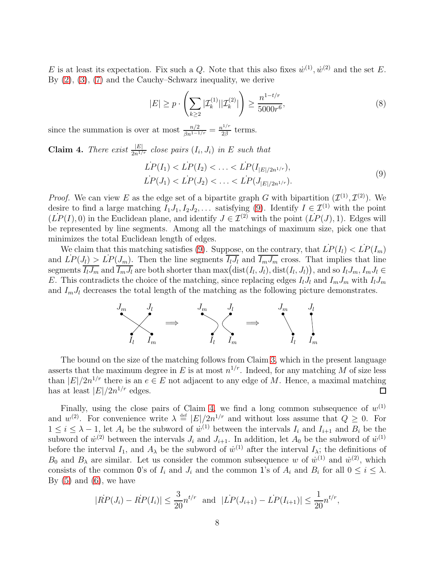E is at least its expectation. Fix such a Q. Note that this also fixes  $\dot{w}^{(1)}$ ,  $\dot{w}^{(2)}$  and the set E. By [\(2\)](#page-5-0), [\(3\)](#page-5-1), [\(7\)](#page-6-3) and the Cauchy–Schwarz inequality, we derive

<span id="page-7-2"></span>
$$
|E| \ge p \cdot \left(\sum_{k\ge 2} |\mathcal{I}_k^{(1)}||\mathcal{I}_k^{(2)}|\right) \ge \frac{n^{1-t/r}}{5000r^6},\tag{8}
$$

since the summation is over at most  $\frac{n/2}{\beta n^{1-1/r}} = \frac{n^{1/r}}{2\beta}$  $rac{v^{1/7}}{2\beta}$  terms.

<span id="page-7-1"></span>**Claim 4.** There exist  $\frac{|E|}{2n^{1/r}}$  close pairs  $(I_i, J_i)$  in E such that

<span id="page-7-0"></span>
$$
LP(I_1) < LP(I_2) < \ldots < LP(I_{|E|/2n^{1/r}}),
$$
\n
$$
LP(J_1) < LP(J_2) < \ldots < LP(J_{|E|/2n^{1/r}}). \tag{9}
$$

*Proof.* We can view E as the edge set of a bipartite graph G with bipartition  $(\mathcal{I}^{(1)}, \mathcal{I}^{(2)})$ . We desire to find a large matching  $I_1J_1, I_2J_2, \ldots$  satisfying [\(9\)](#page-7-0). Identify  $I \in \mathcal{I}^{(1)}$  with the point  $(LP(I), 0)$  in the Euclidean plane, and identify  $J \in \mathcal{I}^{(2)}$  with the point  $(LP(J), 1)$ . Edges will be represented by line segments. Among all the matchings of maximum size, pick one that minimizes the total Euclidean length of edges.

We claim that this matching satisfies [\(9\)](#page-7-0). Suppose, on the contrary, that  $\dot{LP}(I_l) < \dot{LP}(I_m)$ and  $LP(J_l) > LP(J_m)$ . Then the line segments  $\overline{I_l J_l}$  and  $\overline{I_m J_m}$  cross. That implies that line segments  $\overline{I_l J_m}$  and  $\overline{I_m J_l}$  are both shorter than  $\max(\text{dist}(I_l, J_l), \text{dist}(I_l, J_l))$ , and so  $I_l J_m, I_m J_l \in$ E. This contradicts the choice of the matching, since replacing edges  $I_l J_l$  and  $I_m J_m$  with  $I_l J_m$ and  $I_mJ_l$  decreases the total length of the matching as the following picture demonstrates.



The bound on the size of the matching follows from Claim [3,](#page-6-0) which in the present language asserts that the maximum degree in E is at most  $n^{1/r}$ . Indeed, for any matching M of size less than  $|E|/2n^{1/r}$  there is an  $e \in E$  not adjacent to any edge of M. Hence, a maximal matching has at least  $|E|/2n^{1/r}$  edges.

Finally, using the close pairs of Claim [4,](#page-7-1) we find a long common subsequence of  $w^{(1)}$ and  $w^{(2)}$ . For convenience write  $\lambda \stackrel{\text{def}}{=} |E|/2n^{1/r}$  and without loss assume that  $Q \geq 0$ . For  $1 \leq i \leq \lambda - 1$ , let  $A_i$  be the subword of  $w^{(1)}$  between the intervals  $I_i$  and  $I_{i+1}$  and  $B_i$  be the subword of  $\dot{w}^{(2)}$  between the intervals  $J_i$  and  $J_{i+1}$ . In addition, let  $A_0$  be the subword of  $\dot{w}^{(1)}$ before the interval  $I_1$ , and  $A_\lambda$  be the subword of  $\dot{w}^{(1)}$  after the interval  $I_\lambda$ ; the definitions of  $B_0$  and  $B_\lambda$  are similar. Let us consider the common subsequence w of  $\dot{w}^{(1)}$  and  $\dot{w}^{(2)}$ , which consists of the common 0's of  $I_i$  and  $J_i$  and the common 1's of  $A_i$  and  $B_i$  for all  $0 \leq i \leq \lambda$ . By  $(5)$  and  $(6)$ , we have

$$
|\dot{RP}(J_i) - \dot{RP}(I_i)| \le \frac{3}{20} n^{t/r} \text{ and } |\dot{LP}(J_{i+1}) - \dot{LP}(I_{i+1})| \le \frac{1}{20} n^{t/r},
$$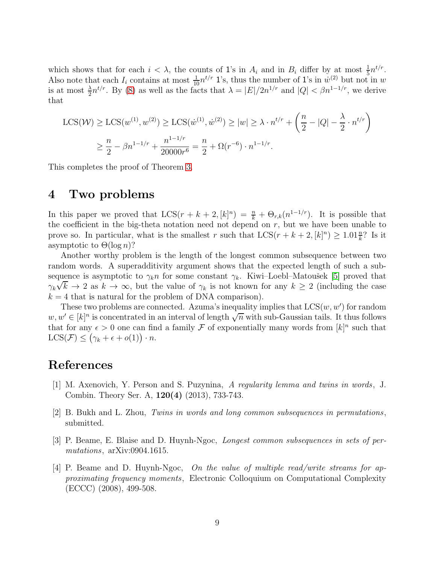which shows that for each  $i < \lambda$ , the counts of 1's in  $A_i$  and in  $B_i$  differ by at most  $\frac{1}{5}n^{t/r}$ . Also note that each  $I_i$  contains at most  $\frac{1}{10}n^{t/r}$  1's, thus the number of 1's in  $\dot{w}^{(2)}$  but not in w is at most  $\frac{\lambda}{2}n^{t/r}$ . By [\(8\)](#page-7-2) as well as the facts that  $\lambda = |E|/2n^{1/r}$  and  $|Q| < \beta n^{1-1/r}$ , we derive that

$$
\text{LCS}(\mathcal{W}) \ge \text{LCS}(w^{(1)}, w^{(2)}) \ge \text{LCS}(w^{(1)}, w^{(2)}) \ge |w| \ge \lambda \cdot n^{t/r} + \left(\frac{n}{2} - |Q| - \frac{\lambda}{2} \cdot n^{t/r}\right)
$$

$$
\ge \frac{n}{2} - \beta n^{1-1/r} + \frac{n^{1-1/r}}{20000r^6} = \frac{n}{2} + \Omega(r^{-6}) \cdot n^{1-1/r}.
$$

This completes the proof of Theorem [3.](#page-2-1)

### 4 Two problems

In this paper we proved that  $LCS(r + k + 2, [k]^n) = \frac{n}{k} + \Theta_{r,k}(n^{1-1/r})$ . It is possible that the coefficient in the big-theta notation need not depend on  $r$ , but we have been unable to prove so. In particular, what is the smallest r such that  $LCS(r + k + 2, [k]^n) \ge 1.01 \frac{n}{k}$ ? Is it asymptotic to  $\Theta(\log n)$ ?

Another worthy problem is the length of the longest common subsequence between two random words. A superadditivity argument shows that the expected length of such a subsequence is asymptotic to  $\gamma_k n$  for some constant  $\gamma_k$ . Kiwi–Loebl–Matoušek [\[5\]](#page-9-0) proved that  $\gamma_k \sqrt{k} \to 2$  as  $k \to \infty$ , but the value of  $\gamma_k$  is not known for any  $k \geq 2$  (including the case  $k = 4$  that is natural for the problem of DNA comparison).

These two problems are connected. Azuma's inequality implies that  $LCS(w, w')$  for random  $w, w' \in [k]^n$  is concentrated in an interval of length  $\sqrt{n}$  with sub-Gaussian tails. It thus follows that for any  $\epsilon > 0$  one can find a family  $\mathcal F$  of exponentially many words from  $[k]^n$  such that LCS( $\mathcal{F}$ )  $\leq (\gamma_k + \epsilon + o(1)) \cdot n$ .

#### <span id="page-8-3"></span>References

- [1] M. Axenovich, Y. Person and S. Puzynina, A regularity lemma and twins in words, J. Combin. Theory Ser. A, 120(4) (2013), 733-743.
- <span id="page-8-2"></span><span id="page-8-1"></span>[2] B. Bukh and L. Zhou, Twins in words and long common subsequences in permutations, submitted.
- <span id="page-8-0"></span>[3] P. Beame, E. Blaise and D. Huynh-Ngoc, Longest common subsequences in sets of permutations,  $arXiv:0904.1615$ .
- [4] P. Beame and D. Huynh-Ngoc, On the value of multiple read/write streams for approximating frequency moments, Electronic Colloquium on Computational Complexity (ECCC) (2008), 499-508.